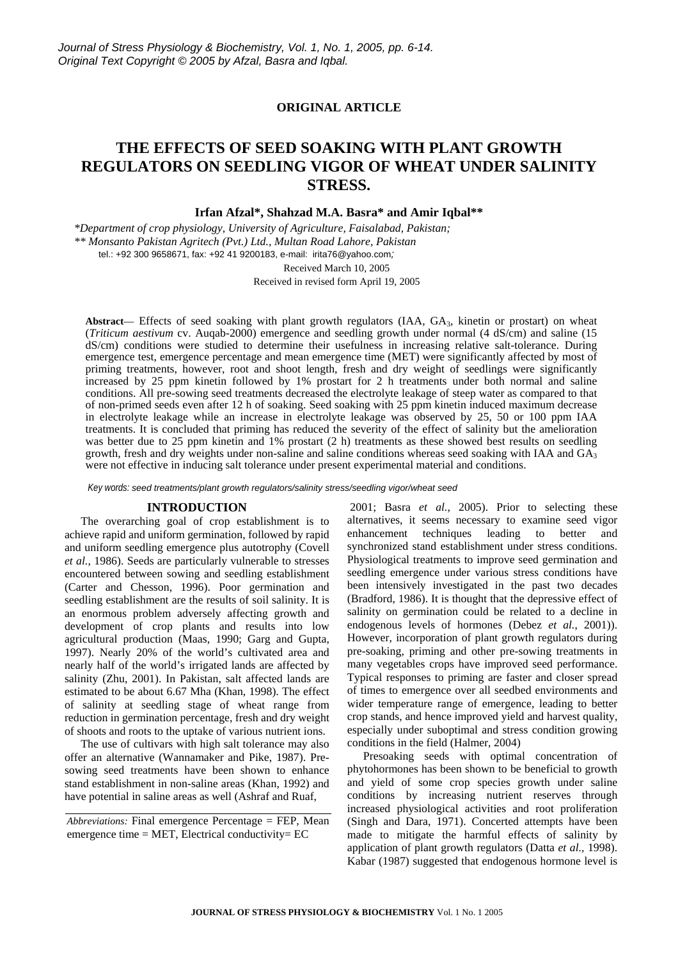# **ORIGINAL ARTICLE**

# **THE EFFECTS OF SEED SOAKING WITH PLANT GROWTH REGULATORS ON SEEDLING VIGOR OF WHEAT UNDER SALINITY STRESS.**

**Irfan Afzal\*, Shahzad M.A. Basra\* and Amir Iqbal\*\*** 

*\*Department of crop physiology, University of Agriculture, Faisalabad, Pakistan; \*\* Monsanto Pakistan Agritech (Pvt.) Ltd., Multan Road Lahore, Pakistan*  tel.: +92 300 9658671, fax: +92 41 9200183, e-mail: irita76@yahoo.com*;* 

> Received March 10, 2005 Received in revised form April 19, 2005

Abstract— Effects of seed soaking with plant growth regulators (IAA, GA<sub>3</sub>, kinetin or prostart) on wheat (*Triticum aestivum* cv. Auqab-2000) emergence and seedling growth under normal (4 dS/cm) and saline (15 dS/cm) conditions were studied to determine their usefulness in increasing relative salt-tolerance. During emergence test, emergence percentage and mean emergence time (MET) were significantly affected by most of priming treatments, however, root and shoot length, fresh and dry weight of seedlings were significantly increased by 25 ppm kinetin followed by 1% prostart for 2 h treatments under both normal and saline conditions. All pre-sowing seed treatments decreased the electrolyte leakage of steep water as compared to that of non-primed seeds even after 12 h of soaking. Seed soaking with 25 ppm kinetin induced maximum decrease in electrolyte leakage while an increase in electrolyte leakage was observed by 25, 50 or 100 ppm IAA treatments. It is concluded that priming has reduced the severity of the effect of salinity but the amelioration was better due to 25 ppm kinetin and 1% prostart (2 h) treatments as these showed best results on seedling growth, fresh and dry weights under non-saline and saline conditions whereas seed soaking with IAA and  $GA<sub>3</sub>$ were not effective in inducing salt tolerance under present experimental material and conditions.

*Key words: seed treatments/plant growth regulators/salinity stress/seedling vigor/wheat seed*

#### **INTRODUCTION**

The overarching goal of crop establishment is to achieve rapid and uniform germination, followed by rapid and uniform seedling emergence plus autotrophy (Covell *et al.*, 1986). Seeds are particularly vulnerable to stresses encountered between sowing and seedling establishment (Carter and Chesson, 1996). Poor germination and seedling establishment are the results of soil salinity. It is an enormous problem adversely affecting growth and development of crop plants and results into low agricultural production (Maas, 1990; Garg and Gupta, 1997). Nearly 20% of the world's cultivated area and nearly half of the world's irrigated lands are affected by salinity (Zhu, 2001). In Pakistan, salt affected lands are estimated to be about 6.67 Mha (Khan, 1998). The effect of salinity at seedling stage of wheat range from reduction in germination percentage, fresh and dry weight of shoots and roots to the uptake of various nutrient ions.

The use of cultivars with high salt tolerance may also offer an alternative (Wannamaker and Pike, 1987). Presowing seed treatments have been shown to enhance stand establishment in non-saline areas (Khan, 1992) and have potential in saline areas as well (Ashraf and Ruaf,

 2001; Basra *et al.,* 2005). Prior to selecting these alternatives, it seems necessary to examine seed vigor enhancement techniques leading to better and synchronized stand establishment under stress conditions. Physiological treatments to improve seed germination and seedling emergence under various stress conditions have been intensively investigated in the past two decades (Bradford, 1986). It is thought that the depressive effect of salinity on germination could be related to a decline in endogenous levels of hormones (Debez *et al.*, 2001)). However, incorporation of plant growth regulators during pre-soaking, priming and other pre-sowing treatments in many vegetables crops have improved seed performance. Typical responses to priming are faster and closer spread of times to emergence over all seedbed environments and wider temperature range of emergence, leading to better crop stands, and hence improved yield and harvest quality, especially under suboptimal and stress condition growing conditions in the field (Halmer, 2004)

Presoaking seeds with optimal concentration of phytohormones has been shown to be beneficial to growth and yield of some crop species growth under saline conditions by increasing nutrient reserves through increased physiological activities and root proliferation (Singh and Dara, 1971). Concerted attempts have been made to mitigate the harmful effects of salinity by application of plant growth regulators (Datta *et al.,* 1998). Kabar (1987) suggested that endogenous hormone level is

*Abbreviations:* Final emergence Percentage = FEP, Mean emergence time  $=$  MET, Electrical conductivity $=$  EC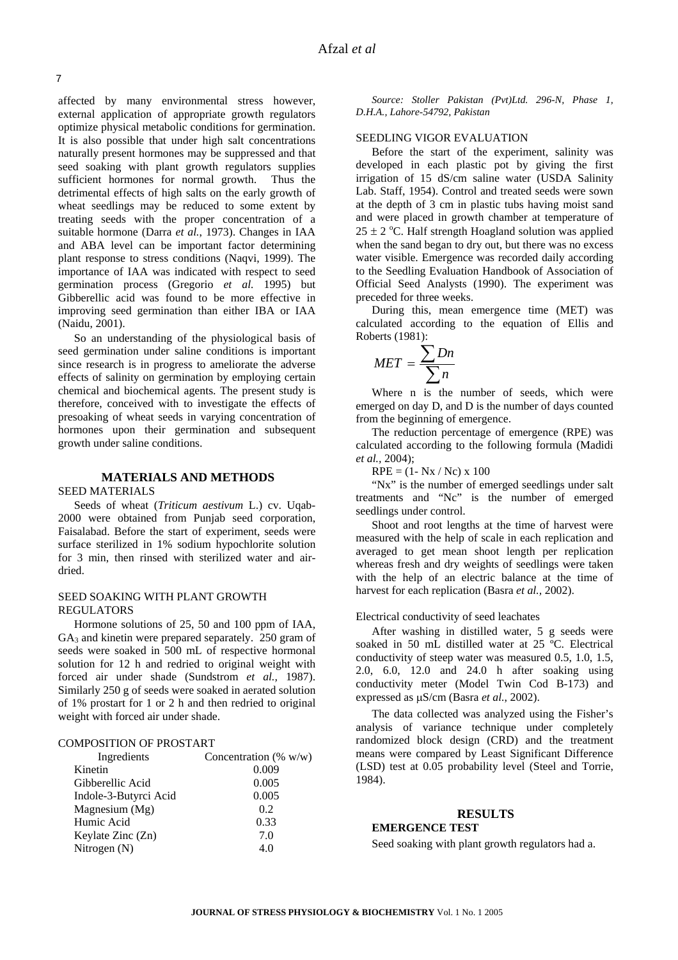affected by many environmental stress however, external application of appropriate growth regulators optimize physical metabolic conditions for germination. It is also possible that under high salt concentrations naturally present hormones may be suppressed and that seed soaking with plant growth regulators supplies sufficient hormones for normal growth. Thus the detrimental effects of high salts on the early growth of wheat seedlings may be reduced to some extent by treating seeds with the proper concentration of a suitable hormone (Darra *et al.*, 1973). Changes in IAA and ABA level can be important factor determining plant response to stress conditions (Naqvi, 1999). The importance of IAA was indicated with respect to seed germination process (Gregorio *et al.* 1995) but Gibberellic acid was found to be more effective in improving seed germination than either IBA or IAA (Naidu, 2001).

So an understanding of the physiological basis of seed germination under saline conditions is important since research is in progress to ameliorate the adverse effects of salinity on germination by employing certain chemical and biochemical agents. The present study is therefore, conceived with to investigate the effects of presoaking of wheat seeds in varying concentration of hormones upon their germination and subsequent growth under saline conditions.

# **MATERIALS AND METHODS**

#### SEED MATERIALS

Seeds of wheat (*Triticum aestivum* L.) cv. Uqab-2000 were obtained from Punjab seed corporation, Faisalabad. Before the start of experiment, seeds were surface sterilized in 1% sodium hypochlorite solution for 3 min, then rinsed with sterilized water and airdried.

#### SEED SOAKING WITH PLANT GROWTH REGULATORS

Hormone solutions of 25, 50 and 100 ppm of IAA,  $GA<sub>3</sub>$  and kinetin were prepared separately. 250 gram of seeds were soaked in 500 mL of respective hormonal solution for 12 h and redried to original weight with forced air under shade (Sundstrom *et al.,* 1987). Similarly 250 g of seeds were soaked in aerated solution of 1% prostart for 1 or 2 h and then redried to original weight with forced air under shade.

# COMPOSITION OF PROSTART

| Ingredients           | Concentration (% $w/w$ ) |
|-----------------------|--------------------------|
| Kinetin               | 0.009                    |
| Gibberellic Acid      | 0.005                    |
| Indole-3-Butyrci Acid | 0.005                    |
| Magnesium (Mg)        | 0.2                      |
| Humic Acid            | 0.33                     |
| Keylate Zinc (Zn)     | 7.0                      |
| Nitrogen $(N)$        | 4.0                      |
|                       |                          |

*Source: Stoller Pakistan (Pvt)Ltd. 296-N, Phase 1, D.H.A., Lahore-54792, Pakistan* 

#### SEEDLING VIGOR EVALUATION

Before the start of the experiment, salinity was developed in each plastic pot by giving the first irrigation of 15 dS/cm saline water (USDA Salinity Lab. Staff, 1954). Control and treated seeds were sown at the depth of 3 cm in plastic tubs having moist sand and were placed in growth chamber at temperature of  $25 \pm 2$  °C. Half strength Hoagland solution was applied when the sand began to dry out, but there was no excess water visible. Emergence was recorded daily according to the Seedling Evaluation Handbook of Association of Official Seed Analysts (1990). The experiment was preceded for three weeks.

During this, mean emergence time (MET) was calculated according to the equation of Ellis and Roberts (1981):

$$
MET = \frac{\sum Dn}{\sum n}
$$

Where n is the number of seeds, which were emerged on day D, and D is the number of days counted from the beginning of emergence.

The reduction percentage of emergence (RPE) was calculated according to the following formula (Madidi *et al.,* 2004);

 $RPE = (1 - Nx / Nc) \times 100$ 

"Nx" is the number of emerged seedlings under salt treatments and "Nc" is the number of emerged seedlings under control.

Shoot and root lengths at the time of harvest were measured with the help of scale in each replication and averaged to get mean shoot length per replication whereas fresh and dry weights of seedlings were taken with the help of an electric balance at the time of harvest for each replication (Basra *et al.,* 2002).

#### Electrical conductivity of seed leachates

After washing in distilled water, 5 g seeds were soaked in 50 mL distilled water at 25 °C. Electrical conductivity of steep water was measured 0.5, 1.0, 1.5, 2.0, 6.0, 12.0 and 24.0 h after soaking using conductivity meter (Model Twin Cod B-173) and expressed as µS/cm (Basra *et al.*, 2002).

The data collected was analyzed using the Fisher's analysis of variance technique under completely randomized block design (CRD) and the treatment means were compared by Least Significant Difference (LSD) test at 0.05 probability level (Steel and Torrie, 1984).

#### **RESULTS EMERGENCE TEST**

Seed soaking with plant growth regulators had a.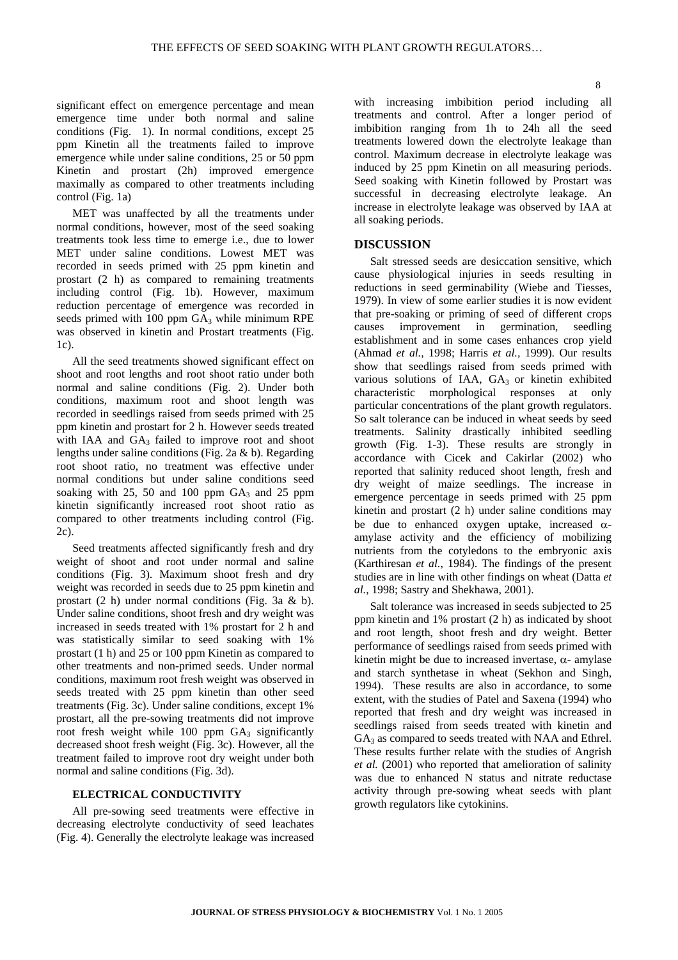significant effect on emergence percentage and mean emergence time under both normal and saline conditions (Fig. 1). In normal conditions, except 25 ppm Kinetin all the treatments failed to improve emergence while under saline conditions, 25 or 50 ppm Kinetin and prostart (2h) improved emergence maximally as compared to other treatments including control (Fig. 1a)

MET was unaffected by all the treatments under normal conditions, however, most of the seed soaking treatments took less time to emerge i.e., due to lower MET under saline conditions. Lowest MET was recorded in seeds primed with 25 ppm kinetin and prostart (2 h) as compared to remaining treatments including control (Fig. 1b). However, maximum reduction percentage of emergence was recorded in seeds primed with 100 ppm  $GA_3$  while minimum RPE was observed in kinetin and Prostart treatments (Fig. 1c).

All the seed treatments showed significant effect on shoot and root lengths and root shoot ratio under both normal and saline conditions (Fig. 2). Under both conditions, maximum root and shoot length was recorded in seedlings raised from seeds primed with 25 ppm kinetin and prostart for 2 h. However seeds treated with IAA and  $GA_3$  failed to improve root and shoot lengths under saline conditions (Fig. 2a & b). Regarding root shoot ratio, no treatment was effective under normal conditions but under saline conditions seed soaking with 25, 50 and 100 ppm  $GA_3$  and 25 ppm kinetin significantly increased root shoot ratio as compared to other treatments including control (Fig. 2c).

Seed treatments affected significantly fresh and dry weight of shoot and root under normal and saline conditions (Fig. 3). Maximum shoot fresh and dry weight was recorded in seeds due to 25 ppm kinetin and prostart (2 h) under normal conditions (Fig. 3a & b). Under saline conditions, shoot fresh and dry weight was increased in seeds treated with 1% prostart for 2 h and was statistically similar to seed soaking with 1% prostart (1 h) and 25 or 100 ppm Kinetin as compared to other treatments and non-primed seeds. Under normal conditions, maximum root fresh weight was observed in seeds treated with 25 ppm kinetin than other seed treatments (Fig. 3c). Under saline conditions, except 1% prostart, all the pre-sowing treatments did not improve root fresh weight while  $100$  ppm  $GA_3$  significantly decreased shoot fresh weight (Fig. 3c). However, all the treatment failed to improve root dry weight under both normal and saline conditions (Fig. 3d).

## **ELECTRICAL CONDUCTIVITY**

All pre-sowing seed treatments were effective in decreasing electrolyte conductivity of seed leachates (Fig. 4). Generally the electrolyte leakage was increased

with increasing imbibition period including all treatments and control. After a longer period of imbibition ranging from 1h to 24h all the seed treatments lowered down the electrolyte leakage than control. Maximum decrease in electrolyte leakage was induced by 25 ppm Kinetin on all measuring periods. Seed soaking with Kinetin followed by Prostart was successful in decreasing electrolyte leakage. An increase in electrolyte leakage was observed by IAA at all soaking periods.

## **DISCUSSION**

Salt stressed seeds are desiccation sensitive, which cause physiological injuries in seeds resulting in reductions in seed germinability (Wiebe and Tiesses, 1979). In view of some earlier studies it is now evident that pre-soaking or priming of seed of different crops causes improvement in germination, seedling establishment and in some cases enhances crop yield (Ahmad *et al.,* 1998; Harris *et al.,* 1999). Our results show that seedlings raised from seeds primed with various solutions of IAA, GA3 or kinetin exhibited characteristic morphological responses at only particular concentrations of the plant growth regulators. So salt tolerance can be induced in wheat seeds by seed treatments. Salinity drastically inhibited seedling growth (Fig. 1-3). These results are strongly in accordance with Cicek and Cakirlar (2002) who reported that salinity reduced shoot length, fresh and dry weight of maize seedlings. The increase in emergence percentage in seeds primed with 25 ppm kinetin and prostart (2 h) under saline conditions may be due to enhanced oxygen uptake, increased  $\alpha$ amylase activity and the efficiency of mobilizing nutrients from the cotyledons to the embryonic axis (Karthiresan *et al.*, 1984). The findings of the present studies are in line with other findings on wheat (Datta *et al.*, 1998; Sastry and Shekhawa, 2001).

Salt tolerance was increased in seeds subjected to 25 ppm kinetin and 1% prostart (2 h) as indicated by shoot and root length, shoot fresh and dry weight. Better performance of seedlings raised from seeds primed with kinetin might be due to increased invertase,  $\alpha$ - amylase and starch synthetase in wheat (Sekhon and Singh, 1994). These results are also in accordance, to some extent, with the studies of Patel and Saxena (1994) who reported that fresh and dry weight was increased in seedlings raised from seeds treated with kinetin and  $GA<sub>3</sub>$  as compared to seeds treated with NAA and Ethrel. These results further relate with the studies of Angrish *et al.* (2001) who reported that amelioration of salinity was due to enhanced N status and nitrate reductase activity through pre-sowing wheat seeds with plant growth regulators like cytokinins.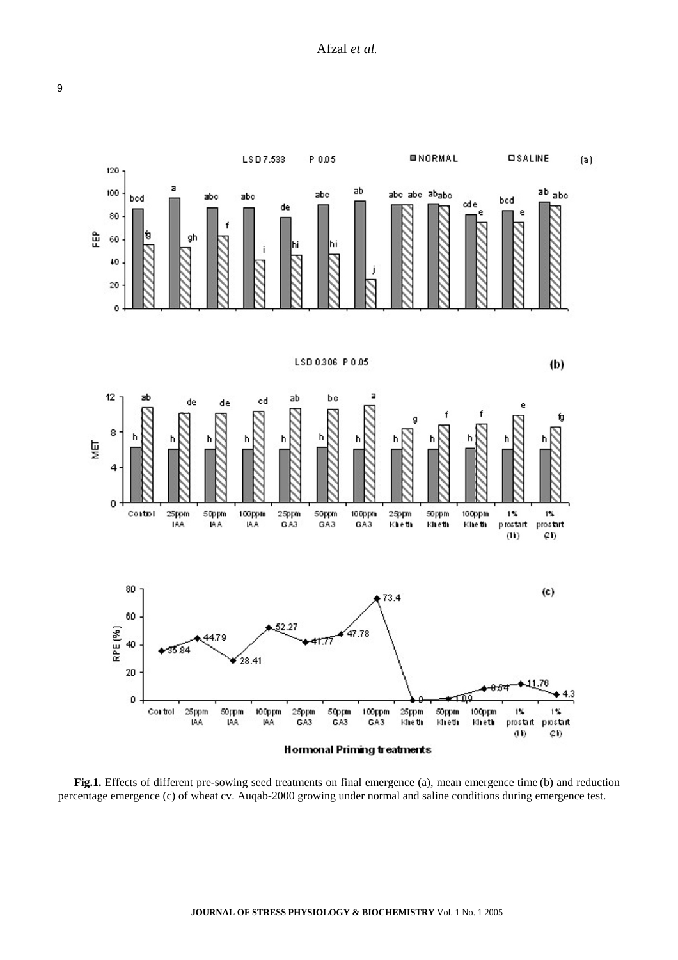

**Fig.1.** Effects of different pre-sowing seed treatments on final emergence (a), mean emergence time (b) and reduction percentage emergence (c) of wheat cv. Auqab-2000 growing under normal and saline conditions during emergence test.

9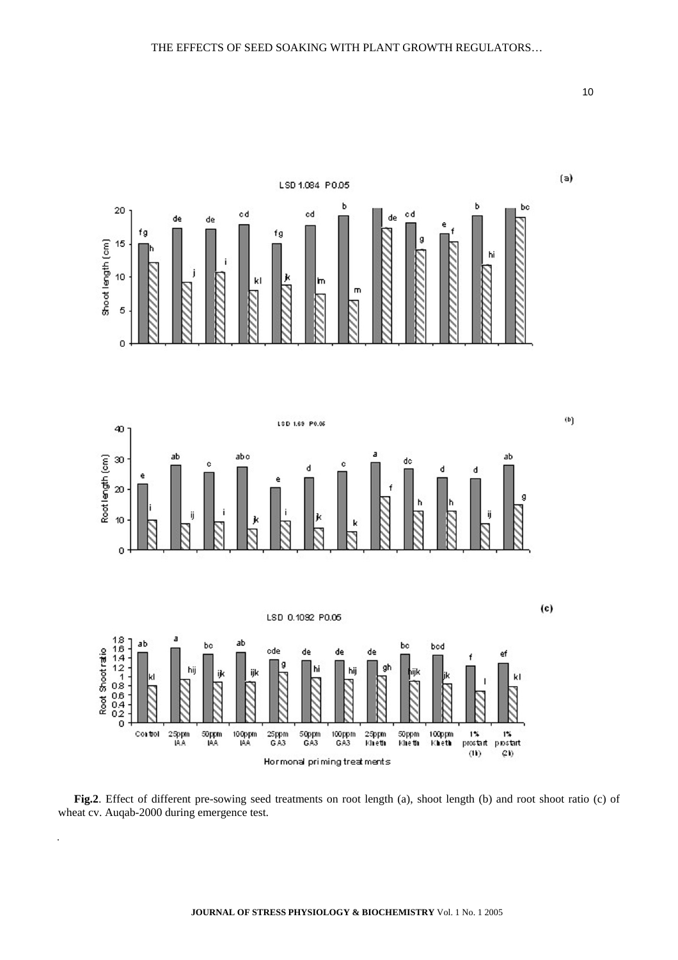

**Fig.2**. Effect of different pre-sowing seed treatments on root length (a), shoot length (b) and root shoot ratio (c) of wheat cv. Auqab-2000 during emergence test.

.

10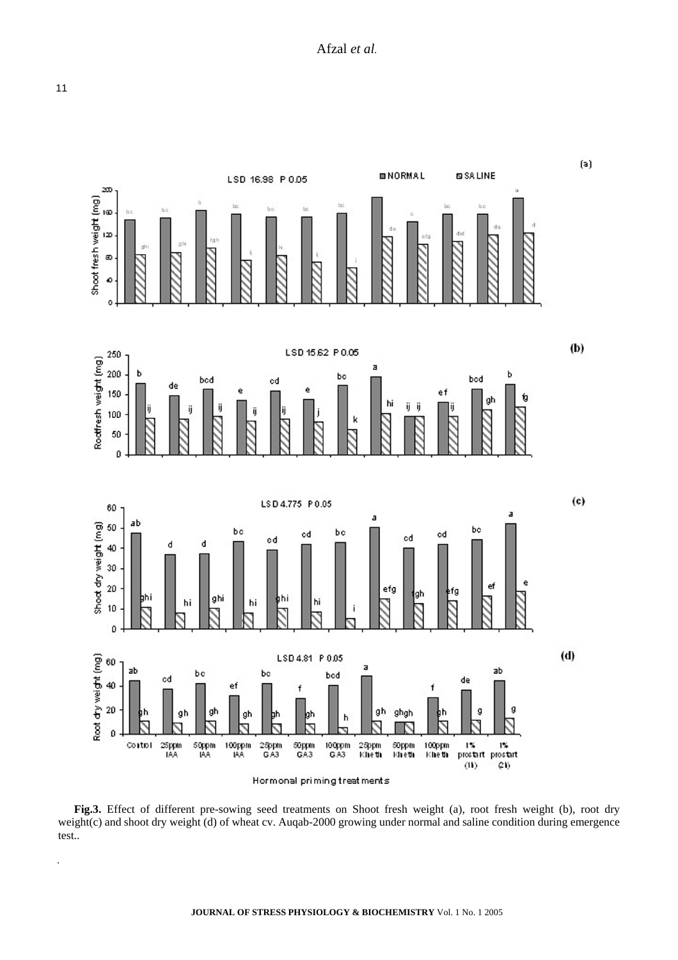

**Fig.3.** Effect of different pre-sowing seed treatments on Shoot fresh weight (a), root fresh weight (b), root dry weight(c) and shoot dry weight (d) of wheat cv. Auqab-2000 growing under normal and saline condition during emergence test..

11

.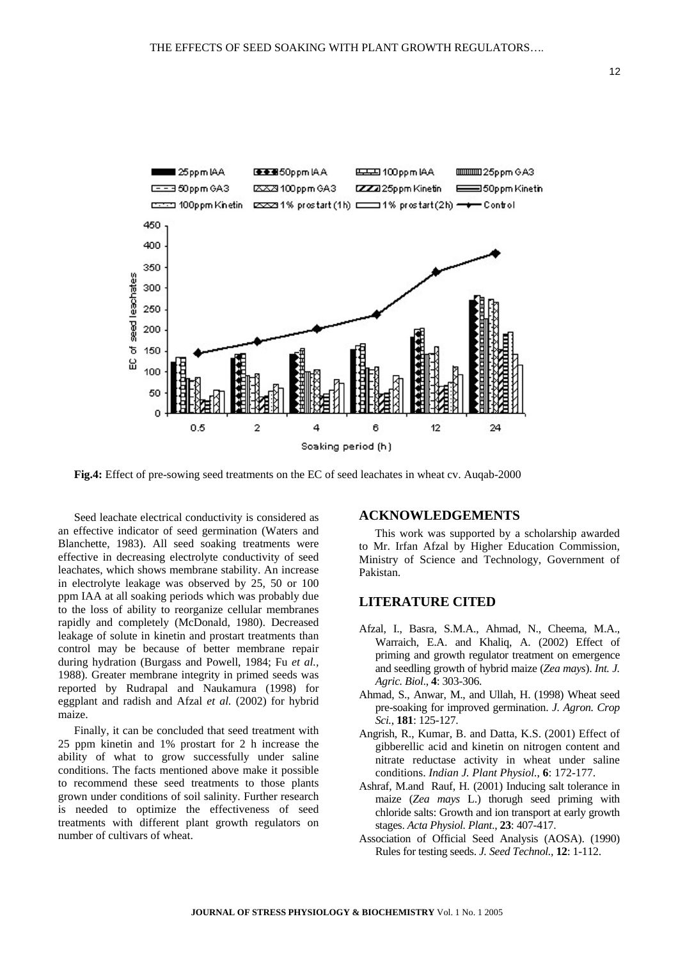

**Fig.4:** Effect of pre-sowing seed treatments on the EC of seed leachates in wheat cv. Auqab-2000

Seed leachate electrical conductivity is considered as an effective indicator of seed germination (Waters and Blanchette, 1983). All seed soaking treatments were effective in decreasing electrolyte conductivity of seed leachates, which shows membrane stability. An increase in electrolyte leakage was observed by 25, 50 or 100 ppm IAA at all soaking periods which was probably due to the loss of ability to reorganize cellular membranes rapidly and completely (McDonald, 1980). Decreased leakage of solute in kinetin and prostart treatments than control may be because of better membrane repair during hydration (Burgass and Powell, 1984; Fu *et al.,* 1988). Greater membrane integrity in primed seeds was reported by Rudrapal and Naukamura (1998) for eggplant and radish and Afzal *et al.* (2002) for hybrid maize.

Finally, it can be concluded that seed treatment with 25 ppm kinetin and 1% prostart for 2 h increase the ability of what to grow successfully under saline conditions. The facts mentioned above make it possible to recommend these seed treatments to those plants grown under conditions of soil salinity. Further research is needed to optimize the effectiveness of seed treatments with different plant growth regulators on number of cultivars of wheat.

### **ACKNOWLEDGEMENTS**

This work was supported by a scholarship awarded to Mr. Irfan Afzal by Higher Education Commission, Ministry of Science and Technology, Government of Pakistan.

# **LITERATURE CITED**

- Afzal, I., Basra, S.M.A., Ahmad, N., Cheema, M.A., Warraich, E.A. and Khaliq, A. (2002) Effect of priming and growth regulator treatment on emergence and seedling growth of hybrid maize (*Zea mays*). *Int. J. Agric. Biol*., **4**: 303-306.
- Ahmad, S., Anwar, M., and Ullah, H. (1998) Wheat seed pre-soaking for improved germination. *J. Agron. Crop Sci.*, **181**: 125-127.
- Angrish, R., Kumar, B. and Datta, K.S. (2001) Effect of gibberellic acid and kinetin on nitrogen content and nitrate reductase activity in wheat under saline conditions. *Indian J. Plant Physiol.*, **6**: 172-177.
- Ashraf, M.and Rauf, H. (2001) Inducing salt tolerance in maize (*Zea mays* L.) thorugh seed priming with chloride salts: Growth and ion transport at early growth stages. *Acta Physiol. Plant*., **23**: 407-417.
- Association of Official Seed Analysis (AOSA). (1990) Rules for testing seeds. *J. Seed Technol.,* **12**: 1-112.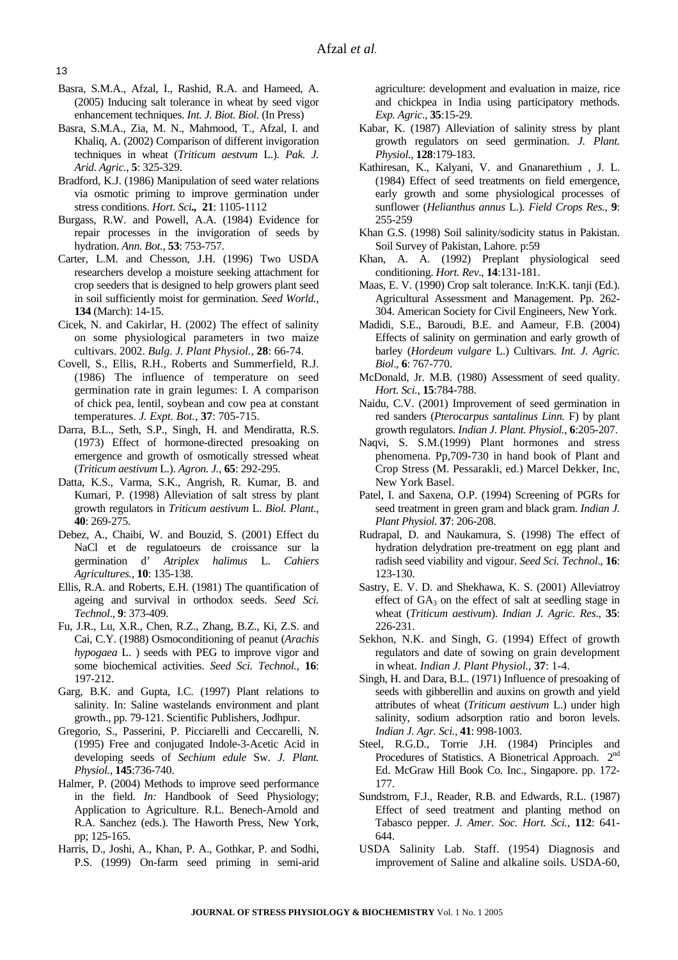- Basra, S.M.A., Afzal, I., Rashid, R.A. and Hameed, A. (2005) Inducing salt tolerance in wheat by seed vigor enhancement techniques. *Int. J. Biot. Biol.* (In Press)
- Basra, S.M.A., Zia, M. N., Mahmood, T., Afzal, I. and Khaliq, A. (2002) Comparison of different invigoration techniques in wheat (*Triticum aestvum* L.). *Pak. J. Arid. Agric.*, **5**: 325-329.
- Bradford, K.J. (1986) Manipulation of seed water relations via osmotic priming to improve germination under stress conditions. *Hort. Sci.,* **21**: 1105-1112
- Burgass, R.W. and Powell, A.A. (1984) Evidence for repair processes in the invigoration of seeds by hydration. *Ann. Bot.*, **53**: 753-757.
- Carter, L.M. and Chesson, J.H. (1996) Two USDA researchers develop a moisture seeking attachment for crop seeders that is designed to help growers plant seed in soil sufficiently moist for germination. *Seed World.*, **134** (March): 14-15.
- Cicek, N. and Cakirlar, H. (2002) The effect of salinity on some physiological parameters in two maize cultivars. 2002. *Bulg. J. Plant Physiol.*, **28**: 66-74.
- Covell, S., Ellis, R.H., Roberts and Summerfield, R.J. (1986) The influence of temperature on seed germination rate in grain legumes: I. A comparison of chick pea, lentil, soybean and cow pea at constant temperatures. *J. Expt. Bot.*, **37**: 705-715.
- Darra, B.L., Seth, S.P., Singh, H. and Mendiratta, R.S. (1973) Effect of hormone-directed presoaking on emergence and growth of osmotically stressed wheat (*Triticum aestivum* L.). *Agron. J.*, **65**: 292-295.
- Datta, K.S., Varma, S.K., Angrish, R. Kumar, B. and Kumari, P. (1998) Alleviation of salt stress by plant growth regulators in *Triticum aestivum* L. *Biol. Plant*., **40**: 269-275.
- Debez, A., Chaibi, W. and Bouzid, S. (2001) Effect du NaCl et de regulatoeurs de croissance sur la germination d' *Atriplex halimus* L. *Cahiers Agricultures.,* **10**: 135-138.
- Ellis, R.A. and Roberts, E.H. (1981) The quantification of ageing and survival in orthodox seeds. *Seed Sci. Technol*., **9**: 373-409.
- Fu, J.R., Lu, X.R., Chen, R.Z., Zhang, B.Z., Ki, Z.S. and Cai, C.Y. (1988) Osmoconditioning of peanut (*Arachis hypogaea* L. ) seeds with PEG to improve vigor and some biochemical activities. *Seed Sci. Technol.,* **16**: 197-212.
- Garg, B.K. and Gupta, I.C. (1997) Plant relations to salinity. In: Saline wastelands environment and plant growth., pp. 79-121. Scientific Publishers, Jodhpur.
- Gregorio, S., Passerini, P. Picciarelli and Ceccarelli, N. (1995) Free and conjugated Indole-3-Acetic Acid in developing seeds of *Sechium edule* Sw. *J. Plant. Physiol.,* **145**:736-740.
- Halmer, P. (2004) Methods to improve seed performance in the field. *In:* Handbook of Seed Physiology; Application to Agriculture. R.L. Benech-Arnold and R.A. Sanchez (eds.). The Haworth Press, New York, pp; 125-165.
- Harris, D., Joshi, A., Khan, P. A., Gothkar, P. and Sodhi, P.S. (1999) On-farm seed priming in semi-arid

agriculture: development and evaluation in maize, rice and chickpea in India using participatory methods. *Exp. Agric*., **35**:15-29.

- Kabar, K. (1987) Alleviation of salinity stress by plant growth regulators on seed germination. *J. Plant. Physiol.*, **128**:179-183.
- Kathiresan, K., Kalyani, V. and Gnanarethium , J. L. (1984) Effect of seed treatments on field emergence, early growth and some physiological processes of sunflower (*Helianthus annus* L.). *Field Crops Res.*, **9**: 255-259
- Khan G.S. (1998) Soil salinity/sodicity status in Pakistan. Soil Survey of Pakistan, Lahore. p:59
- Khan, A. A. (1992) Preplant physiological seed conditioning. *Hort. Rev*., **14**:131-181.
- Maas, E. V. (1990) Crop salt tolerance. In:K.K. tanji (Ed.). Agricultural Assessment and Management. Pp. 262- 304. American Society for Civil Engineers, New York.
- Madidi, S.E., Baroudi, B.E. and Aameur, F.B. (2004) Effects of salinity on germination and early growth of barley (*Hordeum vulgare* L.) Cultivars. *Int. J. Agric. Biol*., **6**: 767-770.
- McDonald, Jr. M.B. (1980) Assessment of seed quality. *Hort. Sci.,* **15**:784-788.
- Naidu, C.V. (2001) Improvement of seed germination in red sanders (*Pterocarpus santalinus Linn.* F) by plant growth regulators. *Indian J. Plant. Physiol.*, **6**:205-207.
- Naqvi, S. S.M.(1999) Plant hormones and stress phenomena. Pp,709-730 in hand book of Plant and Crop Stress (M. Pessarakli, ed.) Marcel Dekker, Inc, New York Basel.
- Patel, I. and Saxena, O.P. (1994) Screening of PGRs for seed treatment in green gram and black gram. *Indian J. Plant Physiol.* **37**: 206-208.
- Rudrapal, D. and Naukamura, S. (1998) The effect of hydration delydration pre-treatment on egg plant and radish seed viability and vigour. *Seed Sci. Technol*., **16**: 123-130.
- Sastry, E. V. D. and Shekhawa, K. S. (2001) Alleviatroy effect of  $GA_3$  on the effect of salt at seedling stage in wheat (*Triticum aestivum*). *Indian J. Agric. Res*., **35**: 226-231.
- Sekhon, N.K. and Singh, G. (1994) Effect of growth regulators and date of sowing on grain development in wheat. *Indian J. Plant Physiol.*, **37**: 1-4.
- Singh, H. and Dara, B.L. (1971) Influence of presoaking of seeds with gibberellin and auxins on growth and yield attributes of wheat (*Triticum aestivum* L.) under high salinity, sodium adsorption ratio and boron levels. *Indian J. Agr. Sci.,* **41**: 998-1003.
- Steel, R.G.D., Torrie J.H. (1984) Principles and Procedures of Statistics. A Bionetrical Approach. 2<sup>nd</sup> Ed. McGraw Hill Book Co. Inc., Singapore. pp. 172- 177.
- Sundstrom, F.J., Reader, R.B. and Edwards, R.L. (1987) Effect of seed treatment and planting method on Tabasco pepper. *J. Amer. Soc. Hort. Sci.,* **112**: 641- 644.
- USDA Salinity Lab. Staff. (1954) Diagnosis and improvement of Saline and alkaline soils. USDA-60,